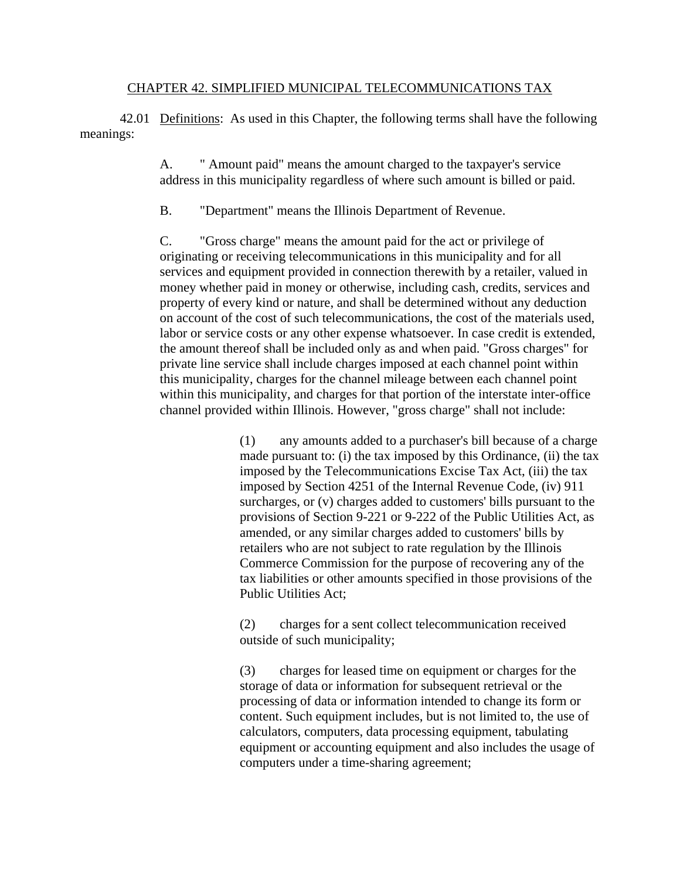## CHAPTER 42. SIMPLIFIED MUNICIPAL TELECOMMUNICATIONS TAX

42.01 Definitions: As used in this Chapter, the following terms shall have the following meanings:

> A. " Amount paid" means the amount charged to the taxpayer's service address in this municipality regardless of where such amount is billed or paid.

B. "Department" means the Illinois Department of Revenue.

C. "Gross charge" means the amount paid for the act or privilege of originating or receiving telecommunications in this municipality and for all services and equipment provided in connection therewith by a retailer, valued in money whether paid in money or otherwise, including cash, credits, services and property of every kind or nature, and shall be determined without any deduction on account of the cost of such telecommunications, the cost of the materials used, labor or service costs or any other expense whatsoever. In case credit is extended, the amount thereof shall be included only as and when paid. "Gross charges" for private line service shall include charges imposed at each channel point within this municipality, charges for the channel mileage between each channel point within this municipality, and charges for that portion of the interstate inter-office channel provided within Illinois. However, "gross charge" shall not include:

> (1) any amounts added to a purchaser's bill because of a charge made pursuant to: (i) the tax imposed by this Ordinance, (ii) the tax imposed by the Telecommunications Excise Tax Act, (iii) the tax imposed by Section 4251 of the Internal Revenue Code, (iv) 911 surcharges, or (v) charges added to customers' bills pursuant to the provisions of Section 9-221 or 9-222 of the Public Utilities Act, as amended, or any similar charges added to customers' bills by retailers who are not subject to rate regulation by the Illinois Commerce Commission for the purpose of recovering any of the tax liabilities or other amounts specified in those provisions of the Public Utilities Act;

(2) charges for a sent collect telecommunication received outside of such municipality;

(3) charges for leased time on equipment or charges for the storage of data or information for subsequent retrieval or the processing of data or information intended to change its form or content. Such equipment includes, but is not limited to, the use of calculators, computers, data processing equipment, tabulating equipment or accounting equipment and also includes the usage of computers under a time-sharing agreement;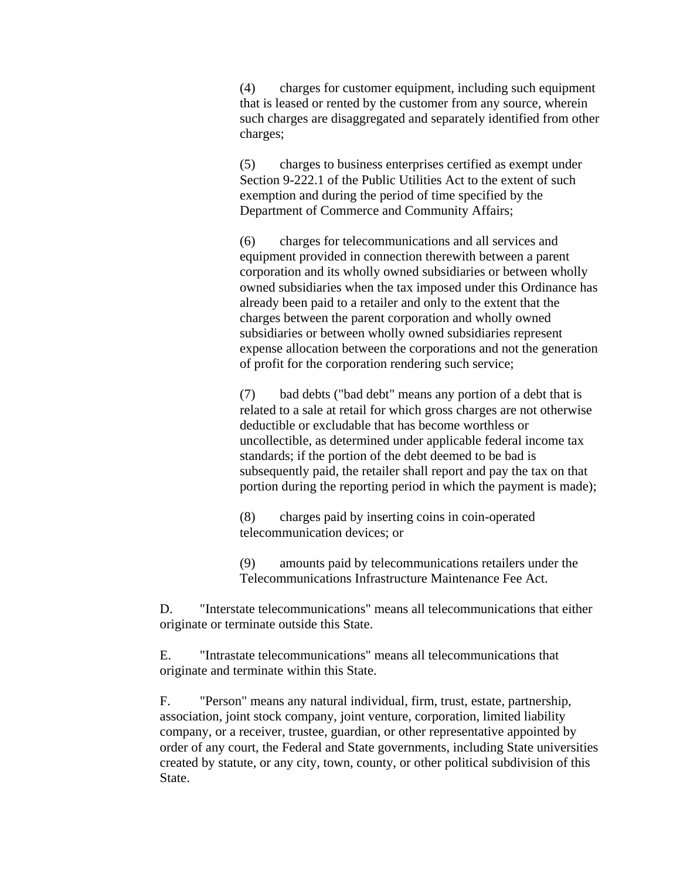(4) charges for customer equipment, including such equipment that is leased or rented by the customer from any source, wherein such charges are disaggregated and separately identified from other charges;

(5) charges to business enterprises certified as exempt under Section 9-222.1 of the Public Utilities Act to the extent of such exemption and during the period of time specified by the Department of Commerce and Community Affairs;

(6) charges for telecommunications and all services and equipment provided in connection therewith between a parent corporation and its wholly owned subsidiaries or between wholly owned subsidiaries when the tax imposed under this Ordinance has already been paid to a retailer and only to the extent that the charges between the parent corporation and wholly owned subsidiaries or between wholly owned subsidiaries represent expense allocation between the corporations and not the generation of profit for the corporation rendering such service;

(7) bad debts ("bad debt" means any portion of a debt that is related to a sale at retail for which gross charges are not otherwise deductible or excludable that has become worthless or uncollectible, as determined under applicable federal income tax standards; if the portion of the debt deemed to be bad is subsequently paid, the retailer shall report and pay the tax on that portion during the reporting period in which the payment is made);

(8) charges paid by inserting coins in coin-operated telecommunication devices; or

(9) amounts paid by telecommunications retailers under the Telecommunications Infrastructure Maintenance Fee Act.

D. "Interstate telecommunications" means all telecommunications that either originate or terminate outside this State.

E. "Intrastate telecommunications" means all telecommunications that originate and terminate within this State.

F. "Person" means any natural individual, firm, trust, estate, partnership, association, joint stock company, joint venture, corporation, limited liability company, or a receiver, trustee, guardian, or other representative appointed by order of any court, the Federal and State governments, including State universities created by statute, or any city, town, county, or other political subdivision of this State.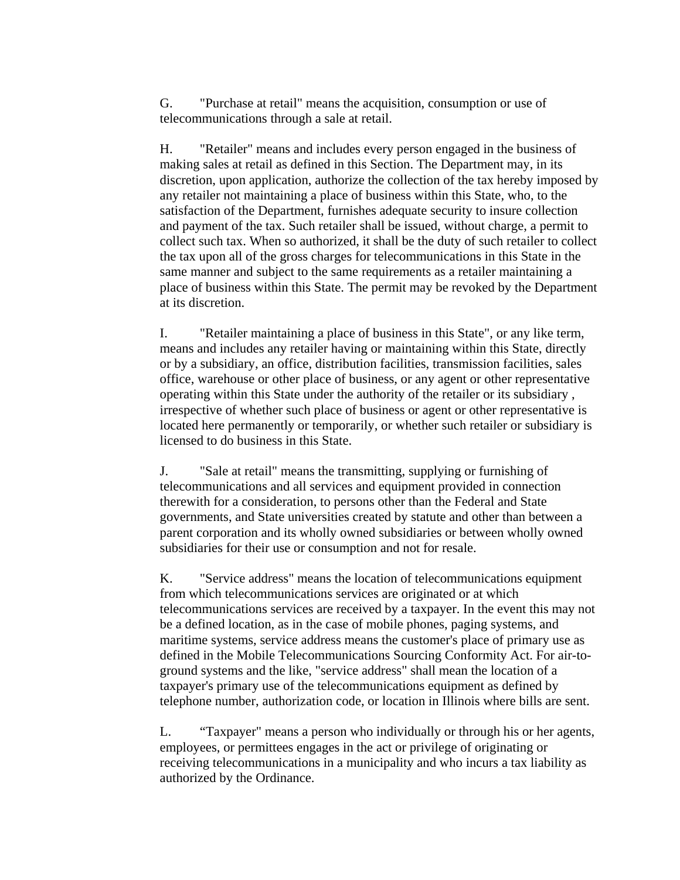G. "Purchase at retail" means the acquisition, consumption or use of telecommunications through a sale at retail.

H. "Retailer" means and includes every person engaged in the business of making sales at retail as defined in this Section. The Department may, in its discretion, upon application, authorize the collection of the tax hereby imposed by any retailer not maintaining a place of business within this State, who, to the satisfaction of the Department, furnishes adequate security to insure collection and payment of the tax. Such retailer shall be issued, without charge, a permit to collect such tax. When so authorized, it shall be the duty of such retailer to collect the tax upon all of the gross charges for telecommunications in this State in the same manner and subject to the same requirements as a retailer maintaining a place of business within this State. The permit may be revoked by the Department at its discretion.

I. "Retailer maintaining a place of business in this State", or any like term, means and includes any retailer having or maintaining within this State, directly or by a subsidiary, an office, distribution facilities, transmission facilities, sales office, warehouse or other place of business, or any agent or other representative operating within this State under the authority of the retailer or its subsidiary , irrespective of whether such place of business or agent or other representative is located here permanently or temporarily, or whether such retailer or subsidiary is licensed to do business in this State.

J. "Sale at retail" means the transmitting, supplying or furnishing of telecommunications and all services and equipment provided in connection therewith for a consideration, to persons other than the Federal and State governments, and State universities created by statute and other than between a parent corporation and its wholly owned subsidiaries or between wholly owned subsidiaries for their use or consumption and not for resale.

K. "Service address" means the location of telecommunications equipment from which telecommunications services are originated or at which telecommunications services are received by a taxpayer. In the event this may not be a defined location, as in the case of mobile phones, paging systems, and maritime systems, service address means the customer's place of primary use as defined in the Mobile Telecommunications Sourcing Conformity Act. For air-toground systems and the like, "service address" shall mean the location of a taxpayer's primary use of the telecommunications equipment as defined by telephone number, authorization code, or location in Illinois where bills are sent.

L. "Taxpayer" means a person who individually or through his or her agents, employees, or permittees engages in the act or privilege of originating or receiving telecommunications in a municipality and who incurs a tax liability as authorized by the Ordinance.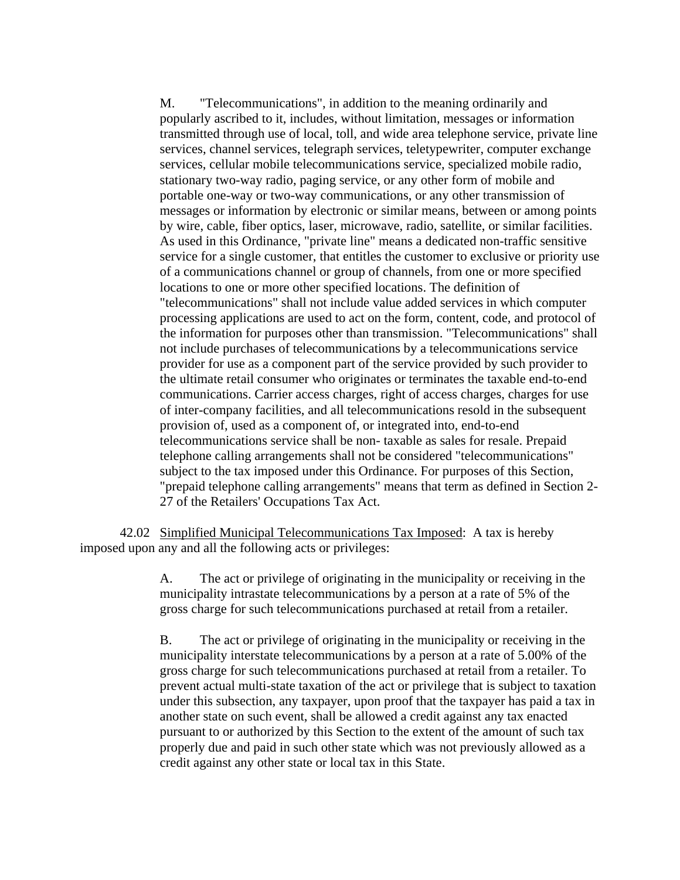M. "Telecommunications", in addition to the meaning ordinarily and popularly ascribed to it, includes, without limitation, messages or information transmitted through use of local, toll, and wide area telephone service, private line services, channel services, telegraph services, teletypewriter, computer exchange services, cellular mobile telecommunications service, specialized mobile radio, stationary two-way radio, paging service, or any other form of mobile and portable one-way or two-way communications, or any other transmission of messages or information by electronic or similar means, between or among points by wire, cable, fiber optics, laser, microwave, radio, satellite, or similar facilities. As used in this Ordinance, "private line" means a dedicated non-traffic sensitive service for a single customer, that entitles the customer to exclusive or priority use of a communications channel or group of channels, from one or more specified locations to one or more other specified locations. The definition of "telecommunications" shall not include value added services in which computer processing applications are used to act on the form, content, code, and protocol of the information for purposes other than transmission. "Telecommunications" shall not include purchases of telecommunications by a telecommunications service provider for use as a component part of the service provided by such provider to the ultimate retail consumer who originates or terminates the taxable end-to-end communications. Carrier access charges, right of access charges, charges for use of inter-company facilities, and all telecommunications resold in the subsequent provision of, used as a component of, or integrated into, end-to-end telecommunications service shall be non- taxable as sales for resale. Prepaid telephone calling arrangements shall not be considered "telecommunications" subject to the tax imposed under this Ordinance. For purposes of this Section, "prepaid telephone calling arrangements" means that term as defined in Section 2- 27 of the Retailers' Occupations Tax Act.

42.02 Simplified Municipal Telecommunications Tax Imposed: A tax is hereby imposed upon any and all the following acts or privileges:

> A. The act or privilege of originating in the municipality or receiving in the municipality intrastate telecommunications by a person at a rate of 5% of the gross charge for such telecommunications purchased at retail from a retailer.

B. The act or privilege of originating in the municipality or receiving in the municipality interstate telecommunications by a person at a rate of 5.00% of the gross charge for such telecommunications purchased at retail from a retailer. To prevent actual multi-state taxation of the act or privilege that is subject to taxation under this subsection, any taxpayer, upon proof that the taxpayer has paid a tax in another state on such event, shall be allowed a credit against any tax enacted pursuant to or authorized by this Section to the extent of the amount of such tax properly due and paid in such other state which was not previously allowed as a credit against any other state or local tax in this State.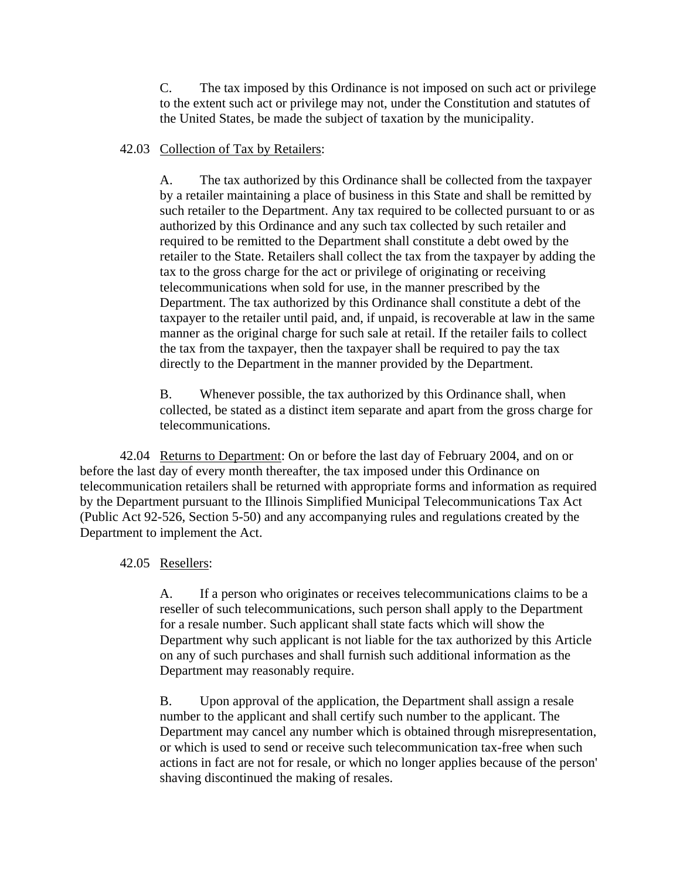C. The tax imposed by this Ordinance is not imposed on such act or privilege to the extent such act or privilege may not, under the Constitution and statutes of the United States, be made the subject of taxation by the municipality.

## 42.03 Collection of Tax by Retailers:

A. The tax authorized by this Ordinance shall be collected from the taxpayer by a retailer maintaining a place of business in this State and shall be remitted by such retailer to the Department. Any tax required to be collected pursuant to or as authorized by this Ordinance and any such tax collected by such retailer and required to be remitted to the Department shall constitute a debt owed by the retailer to the State. Retailers shall collect the tax from the taxpayer by adding the tax to the gross charge for the act or privilege of originating or receiving telecommunications when sold for use, in the manner prescribed by the Department. The tax authorized by this Ordinance shall constitute a debt of the taxpayer to the retailer until paid, and, if unpaid, is recoverable at law in the same manner as the original charge for such sale at retail. If the retailer fails to collect the tax from the taxpayer, then the taxpayer shall be required to pay the tax directly to the Department in the manner provided by the Department.

B. Whenever possible, the tax authorized by this Ordinance shall, when collected, be stated as a distinct item separate and apart from the gross charge for telecommunications.

42.04 Returns to Department: On or before the last day of February 2004, and on or before the last day of every month thereafter, the tax imposed under this Ordinance on telecommunication retailers shall be returned with appropriate forms and information as required by the Department pursuant to the Illinois Simplified Municipal Telecommunications Tax Act (Public Act 92-526, Section 5-50) and any accompanying rules and regulations created by the Department to implement the Act.

## 42.05 Resellers:

A. If a person who originates or receives telecommunications claims to be a reseller of such telecommunications, such person shall apply to the Department for a resale number. Such applicant shall state facts which will show the Department why such applicant is not liable for the tax authorized by this Article on any of such purchases and shall furnish such additional information as the Department may reasonably require.

B. Upon approval of the application, the Department shall assign a resale number to the applicant and shall certify such number to the applicant. The Department may cancel any number which is obtained through misrepresentation, or which is used to send or receive such telecommunication tax-free when such actions in fact are not for resale, or which no longer applies because of the person' shaving discontinued the making of resales.